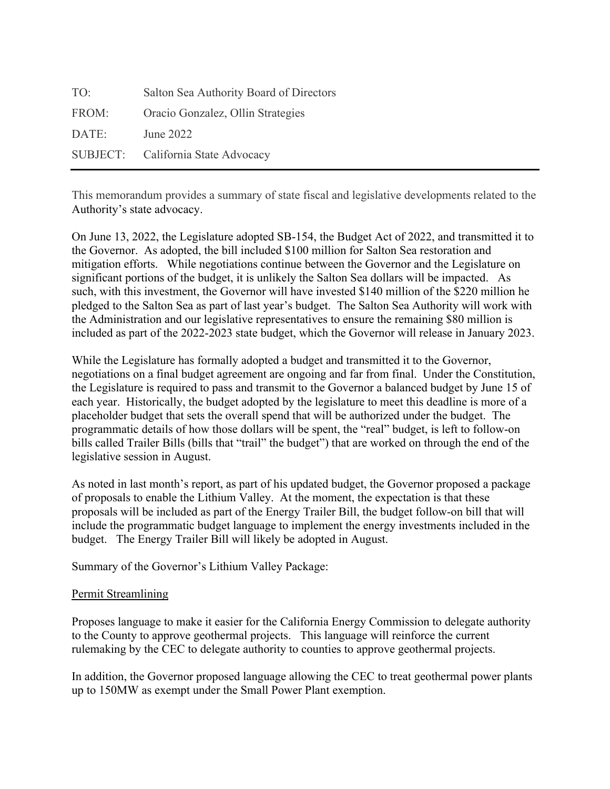| TO:             | Salton Sea Authority Board of Directors |
|-----------------|-----------------------------------------|
| FROM:           | Oracio Gonzalez, Ollin Strategies       |
| DATE:           | June 2022                               |
| <b>SUBJECT:</b> | California State Advocacy               |

This memorandum provides a summary of state fiscal and legislative developments related to the Authority's state advocacy.

On June 13, 2022, the Legislature adopted SB-154, the Budget Act of 2022, and transmitted it to the Governor. As adopted, the bill included \$100 million for Salton Sea restoration and mitigation efforts. While negotiations continue between the Governor and the Legislature on significant portions of the budget, it is unlikely the Salton Sea dollars will be impacted. As such, with this investment, the Governor will have invested \$140 million of the \$220 million he pledged to the Salton Sea as part of last year's budget. The Salton Sea Authority will work with the Administration and our legislative representatives to ensure the remaining \$80 million is included as part of the 2022-2023 state budget, which the Governor will release in January 2023.

While the Legislature has formally adopted a budget and transmitted it to the Governor, negotiations on a final budget agreement are ongoing and far from final. Under the Constitution, the Legislature is required to pass and transmit to the Governor a balanced budget by June 15 of each year. Historically, the budget adopted by the legislature to meet this deadline is more of a placeholder budget that sets the overall spend that will be authorized under the budget. The programmatic details of how those dollars will be spent, the "real" budget, is left to follow-on bills called Trailer Bills (bills that "trail" the budget") that are worked on through the end of the legislative session in August.

As noted in last month's report, as part of his updated budget, the Governor proposed a package of proposals to enable the Lithium Valley. At the moment, the expectation is that these proposals will be included as part of the Energy Trailer Bill, the budget follow-on bill that will include the programmatic budget language to implement the energy investments included in the budget. The Energy Trailer Bill will likely be adopted in August.

Summary of the Governor's Lithium Valley Package:

# Permit Streamlining

Proposes language to make it easier for the California Energy Commission to delegate authority to the County to approve geothermal projects. This language will reinforce the current rulemaking by the CEC to delegate authority to counties to approve geothermal projects.

In addition, the Governor proposed language allowing the CEC to treat geothermal power plants up to 150MW as exempt under the Small Power Plant exemption.